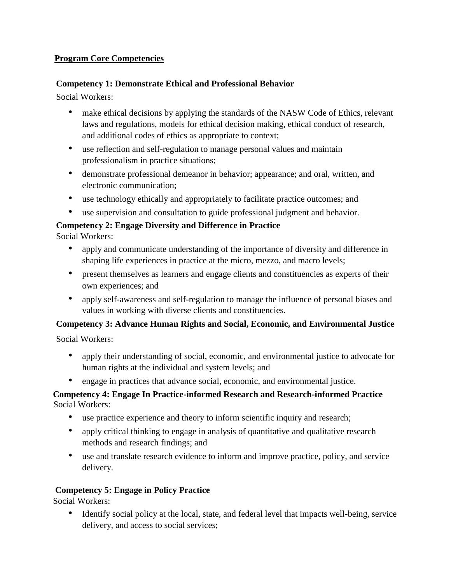#### **Program Core Competencies**

#### **Competency 1: Demonstrate Ethical and Professional Behavior**

Social Workers:

- make ethical decisions by applying the standards of the NASW Code of Ethics, relevant laws and regulations, models for ethical decision making, ethical conduct of research, and additional codes of ethics as appropriate to context;
- use reflection and self-regulation to manage personal values and maintain professionalism in practice situations;
- demonstrate professional demeanor in behavior; appearance; and oral, written, and electronic communication;
- use technology ethically and appropriately to facilitate practice outcomes; and
- use supervision and consultation to guide professional judgment and behavior.

## **Competency 2: Engage Diversity and Difference in Practice**

Social Workers:

- apply and communicate understanding of the importance of diversity and difference in shaping life experiences in practice at the micro, mezzo, and macro levels;
- present themselves as learners and engage clients and constituencies as experts of their own experiences; and
- apply self-awareness and self-regulation to manage the influence of personal biases and values in working with diverse clients and constituencies.

## **Competency 3: Advance Human Rights and Social, Economic, and Environmental Justice**

Social Workers:

- apply their understanding of social, economic, and environmental justice to advocate for human rights at the individual and system levels; and
- engage in practices that advance social, economic, and environmental justice.

#### **Competency 4: Engage In Practice-informed Research and Research-informed Practice**  Social Workers:

- use practice experience and theory to inform scientific inquiry and research;
- apply critical thinking to engage in analysis of quantitative and qualitative research methods and research findings; and
- use and translate research evidence to inform and improve practice, policy, and service delivery.

## **Competency 5: Engage in Policy Practice**

Social Workers:

• Identify social policy at the local, state, and federal level that impacts well-being, service delivery, and access to social services;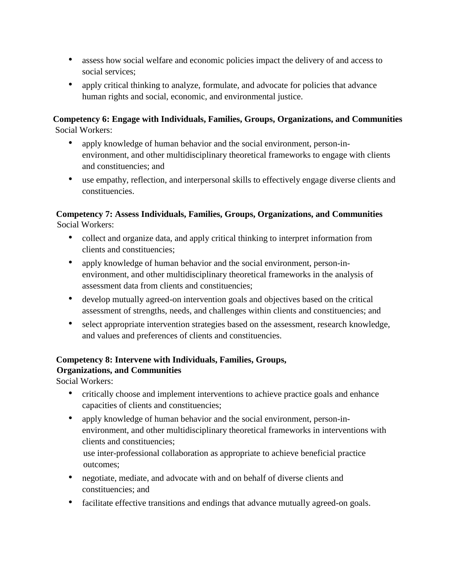- assess how social welfare and economic policies impact the delivery of and access to social services;
- apply critical thinking to analyze, formulate, and advocate for policies that advance human rights and social, economic, and environmental justice.

#### **Competency 6: Engage with Individuals, Families, Groups, Organizations, and Communities**  Social Workers:

- apply knowledge of human behavior and the social environment, person-inenvironment, and other multidisciplinary theoretical frameworks to engage with clients and constituencies; and
- use empathy, reflection, and interpersonal skills to effectively engage diverse clients and constituencies.

# **Competency 7: Assess Individuals, Families, Groups, Organizations, and Communities**

Social Workers:

- collect and organize data, and apply critical thinking to interpret information from clients and constituencies;
- apply knowledge of human behavior and the social environment, person-inenvironment, and other multidisciplinary theoretical frameworks in the analysis of assessment data from clients and constituencies;
- develop mutually agreed-on intervention goals and objectives based on the critical assessment of strengths, needs, and challenges within clients and constituencies; and
- select appropriate intervention strategies based on the assessment, research knowledge, and values and preferences of clients and constituencies.

#### **Competency 8: Intervene with Individuals, Families, Groups, Organizations, and Communities**

Social Workers:

- critically choose and implement interventions to achieve practice goals and enhance capacities of clients and constituencies;
- apply knowledge of human behavior and the social environment, person-inenvironment, and other multidisciplinary theoretical frameworks in interventions with clients and constituencies;

use inter-professional collaboration as appropriate to achieve beneficial practice outcomes;

- negotiate, mediate, and advocate with and on behalf of diverse clients and constituencies; and
- facilitate effective transitions and endings that advance mutually agreed-on goals.